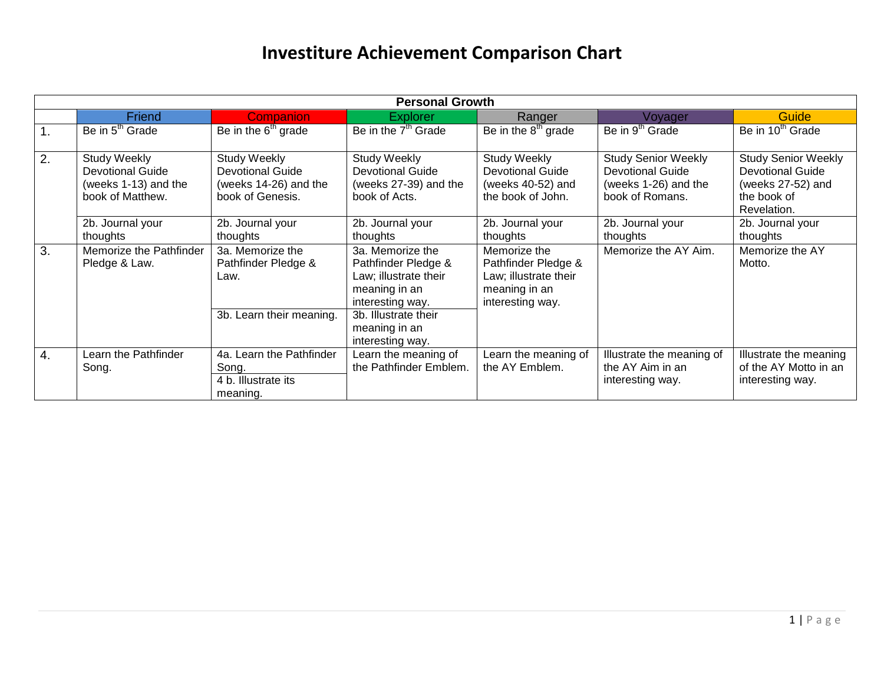## **Investiture Achievement Comparison Chart**

|                  | <b>Personal Growth</b>                                                                     |                                                                                             |                                                                                                                               |                                                                                                   |                                                                                                  |                                                                                                   |  |
|------------------|--------------------------------------------------------------------------------------------|---------------------------------------------------------------------------------------------|-------------------------------------------------------------------------------------------------------------------------------|---------------------------------------------------------------------------------------------------|--------------------------------------------------------------------------------------------------|---------------------------------------------------------------------------------------------------|--|
|                  | Friend                                                                                     | Companion                                                                                   | <b>Explorer</b>                                                                                                               | Ranger                                                                                            | <b>Voyager</b>                                                                                   | <b>Guide</b>                                                                                      |  |
|                  | Be in 5 <sup>th</sup> Grade                                                                | Be in the 6 <sup>th</sup> grade                                                             | Be in the $7th$ Grade                                                                                                         | Be in the 8 <sup>th</sup> grade                                                                   | Be in 9 <sup>th</sup> Grade                                                                      | Be in 10 <sup>th</sup> Grade                                                                      |  |
| 2.               | <b>Study Weekly</b><br><b>Devotional Guide</b><br>(weeks 1-13) and the<br>book of Matthew. | <b>Study Weekly</b><br><b>Devotional Guide</b><br>(weeks 14-26) and the<br>book of Genesis. | <b>Study Weekly</b><br><b>Devotional Guide</b><br>(weeks 27-39) and the<br>book of Acts.                                      | <b>Study Weekly</b><br><b>Devotional Guide</b><br>(weeks $40-52$ ) and<br>the book of John.       | <b>Study Senior Weekly</b><br><b>Devotional Guide</b><br>(weeks 1-26) and the<br>book of Romans. | Study Senior Weekly<br><b>Devotional Guide</b><br>(weeks 27-52) and<br>the book of<br>Revelation. |  |
|                  | 2b. Journal your<br>thoughts                                                               | 2b. Journal your<br>thoughts                                                                | 2b. Journal your<br>thoughts                                                                                                  | 2b. Journal your<br>thoughts                                                                      | 2b. Journal your<br>thoughts                                                                     | 2b. Journal your<br>thoughts                                                                      |  |
| 3.               | Memorize the Pathfinder<br>Pledge & Law.                                                   | 3a. Memorize the<br>Pathfinder Pledge &<br>Law.                                             | 3a. Memorize the<br>Pathfinder Pledge &<br>Law; illustrate their<br>meaning in an<br>interesting way.<br>3b. Illustrate their | Memorize the<br>Pathfinder Pledge &<br>Law; illustrate their<br>meaning in an<br>interesting way. | Memorize the AY Aim.                                                                             | Memorize the AY<br>Motto.                                                                         |  |
|                  |                                                                                            | 3b. Learn their meaning.                                                                    | meaning in an<br>interesting way.                                                                                             |                                                                                                   |                                                                                                  |                                                                                                   |  |
| $\overline{4}$ . | Learn the Pathfinder<br>Song.                                                              | 4a. Learn the Pathfinder<br>Song.<br>4 b. Illustrate its<br>meaning.                        | Learn the meaning of<br>the Pathfinder Emblem.                                                                                | Learn the meaning of<br>the AY Emblem.                                                            | Illustrate the meaning of<br>the AY Aim in an<br>interesting way.                                | Illustrate the meaning<br>of the AY Motto in an<br>interesting way.                               |  |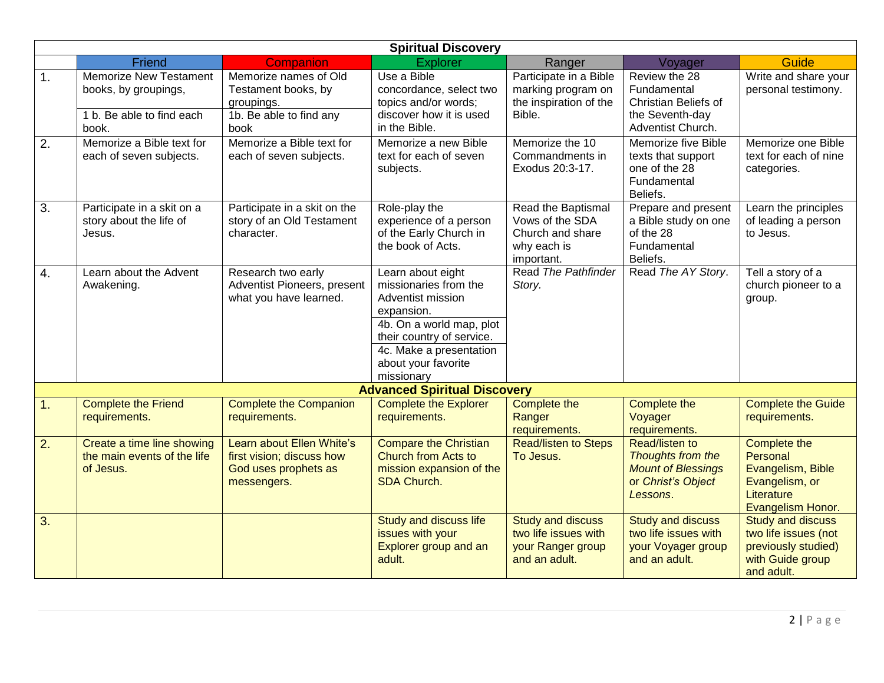|                  | <b>Spiritual Discovery</b>                                                                  |                                                                                               |                                                                                                                                                                                                        |                                                                                        |                                                                                                           |                                                                                                           |  |
|------------------|---------------------------------------------------------------------------------------------|-----------------------------------------------------------------------------------------------|--------------------------------------------------------------------------------------------------------------------------------------------------------------------------------------------------------|----------------------------------------------------------------------------------------|-----------------------------------------------------------------------------------------------------------|-----------------------------------------------------------------------------------------------------------|--|
|                  | Friend                                                                                      | Companion                                                                                     | <b>Explorer</b>                                                                                                                                                                                        | Ranger                                                                                 | Voyager                                                                                                   | Guide                                                                                                     |  |
| 1.               | <b>Memorize New Testament</b><br>books, by groupings,<br>1 b. Be able to find each<br>book. | Memorize names of Old<br>Testament books, by<br>groupings.<br>1b. Be able to find any<br>book | Use a Bible<br>concordance, select two<br>topics and/or words;<br>discover how it is used<br>in the Bible.                                                                                             | Participate in a Bible<br>marking program on<br>the inspiration of the<br>Bible.       | Review the 28<br>Fundamental<br>Christian Beliefs of<br>the Seventh-day<br>Adventist Church.              | Write and share your<br>personal testimony.                                                               |  |
| 2.               | Memorize a Bible text for<br>each of seven subjects.                                        | Memorize a Bible text for<br>each of seven subjects.                                          | Memorize a new Bible<br>text for each of seven<br>subjects.                                                                                                                                            | Memorize the 10<br>Commandments in<br>Exodus 20:3-17.                                  | Memorize five Bible<br>texts that support<br>one of the 28<br>Fundamental<br>Beliefs.                     | Memorize one Bible<br>text for each of nine<br>categories.                                                |  |
| $\overline{3}$ . | Participate in a skit on a<br>story about the life of<br>Jesus.                             | Participate in a skit on the<br>story of an Old Testament<br>character.                       | Role-play the<br>experience of a person<br>of the Early Church in<br>the book of Acts.                                                                                                                 | Read the Baptismal<br>Vows of the SDA<br>Church and share<br>why each is<br>important. | Prepare and present<br>a Bible study on one<br>of the 28<br>Fundamental<br>Beliefs.                       | Learn the principles<br>of leading a person<br>to Jesus.                                                  |  |
| 4.               | Learn about the Advent<br>Awakening.                                                        | Research two early<br>Adventist Pioneers, present<br>what you have learned.                   | Learn about eight<br>missionaries from the<br>Adventist mission<br>expansion.<br>4b. On a world map, plot<br>their country of service.<br>4c. Make a presentation<br>about your favorite<br>missionary | Read The Pathfinder<br>Story.                                                          | Read The AY Story.                                                                                        | Tell a story of a<br>church pioneer to a<br>group.                                                        |  |
|                  |                                                                                             |                                                                                               | <b>Advanced Spiritual Discovery</b>                                                                                                                                                                    |                                                                                        |                                                                                                           |                                                                                                           |  |
| 1.               | <b>Complete the Friend</b><br>requirements.                                                 | <b>Complete the Companion</b><br>requirements.                                                | <b>Complete the Explorer</b><br>requirements.                                                                                                                                                          | <b>Complete the</b><br>Ranger<br>requirements.                                         | <b>Complete the</b><br>Voyager<br>requirements.                                                           | <b>Complete the Guide</b><br>requirements.                                                                |  |
| 2.               | Create a time line showing<br>the main events of the life<br>of Jesus.                      | Learn about Ellen White's<br>first vision; discuss how<br>God uses prophets as<br>messengers. | <b>Compare the Christian</b><br>Church from Acts to<br>mission expansion of the<br><b>SDA Church.</b>                                                                                                  | Read/listen to Steps<br>To Jesus.                                                      | <b>Read/listen to</b><br>Thoughts from the<br><b>Mount of Blessings</b><br>or Christ's Object<br>Lessons. | <b>Complete the</b><br>Personal<br>Evangelism, Bible<br>Evangelism, or<br>Literature<br>Evangelism Honor. |  |
| $\overline{3}$ . |                                                                                             |                                                                                               | <b>Study and discuss life</b><br>issues with your<br>Explorer group and an<br>adult.                                                                                                                   | <b>Study and discuss</b><br>two life issues with<br>your Ranger group<br>and an adult. | <b>Study and discuss</b><br>two life issues with<br>your Voyager group<br>and an adult.                   | <b>Study and discuss</b><br>two life issues (not<br>previously studied)<br>with Guide group<br>and adult. |  |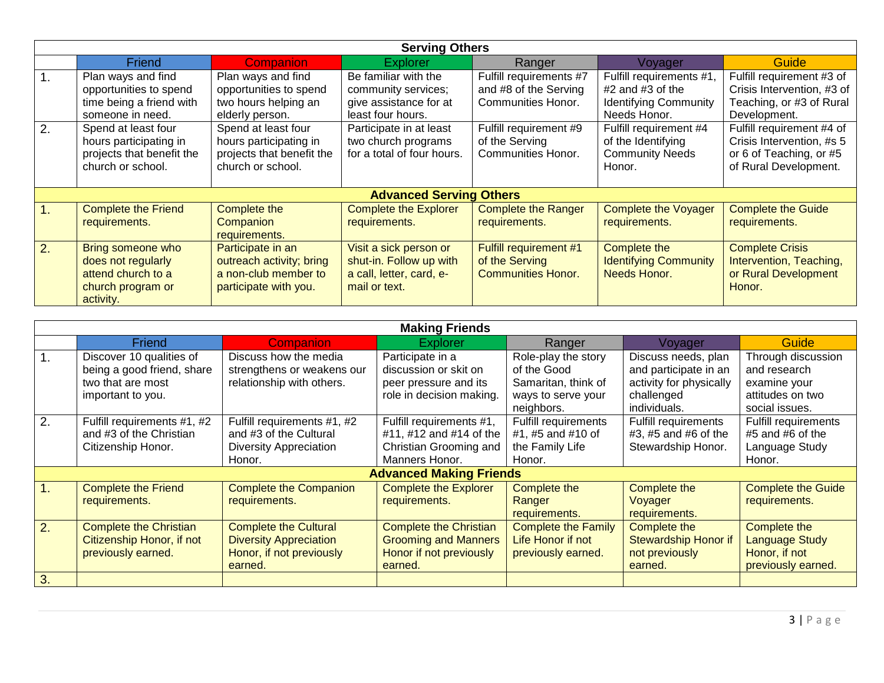|                |                                                                                                 |                                                                                                 | <b>Serving Others</b>                                                                          |                                                                        |                                                                                                  |                                                                                                            |
|----------------|-------------------------------------------------------------------------------------------------|-------------------------------------------------------------------------------------------------|------------------------------------------------------------------------------------------------|------------------------------------------------------------------------|--------------------------------------------------------------------------------------------------|------------------------------------------------------------------------------------------------------------|
|                | Friend                                                                                          | <b>Companion</b>                                                                                | <b>Explorer</b>                                                                                | Ranger                                                                 | Voyager                                                                                          | Guide                                                                                                      |
| $\mathbf{1}$ . | Plan ways and find<br>opportunities to spend<br>time being a friend with<br>someone in need.    | Plan ways and find<br>opportunities to spend<br>two hours helping an<br>elderly person.         | Be familiar with the<br>community services;<br>give assistance for at<br>least four hours.     | Fulfill requirements #7<br>and #8 of the Serving<br>Communities Honor. | Fulfill requirements #1,<br>$#2$ and $#3$ of the<br><b>Identifying Community</b><br>Needs Honor. | Fulfill requirement #3 of<br>Crisis Intervention, #3 of<br>Teaching, or #3 of Rural<br>Development.        |
| 2.             | Spend at least four<br>hours participating in<br>projects that benefit the<br>church or school. | Spend at least four<br>hours participating in<br>projects that benefit the<br>church or school. | Participate in at least<br>two church programs<br>for a total of four hours.                   | Fulfill requirement #9<br>of the Serving<br><b>Communities Honor.</b>  | Fulfill requirement #4<br>of the Identifying<br><b>Community Needs</b><br>Honor.                 | Fulfill requirement #4 of<br>Crisis Intervention, #s 5<br>or 6 of Teaching, or #5<br>of Rural Development. |
|                |                                                                                                 |                                                                                                 | <b>Advanced Serving Others</b>                                                                 |                                                                        |                                                                                                  |                                                                                                            |
| 1 <sub>1</sub> | <b>Complete the Friend</b><br>requirements.                                                     | <b>Complete the</b><br>Companion<br>requirements.                                               | <b>Complete the Explorer</b><br>requirements.                                                  | <b>Complete the Ranger</b><br>requirements.                            | <b>Complete the Voyager</b><br>requirements.                                                     | <b>Complete the Guide</b><br>requirements.                                                                 |
| 2.             | Bring someone who<br>does not regularly<br>attend church to a<br>church program or<br>activity. | Participate in an<br>outreach activity; bring<br>a non-club member to<br>participate with you.  | Visit a sick person or<br>shut-in. Follow up with<br>a call, letter, card, e-<br>mail or text. | Fulfill requirement #1<br>of the Serving<br><b>Communities Honor.</b>  | <b>Complete the</b><br><b>Identifying Community</b><br>Needs Honor.                              | <b>Complete Crisis</b><br>Intervention, Teaching,<br>or Rural Development<br>Honor.                        |

|    | <b>Making Friends</b>         |                               |                                |                             |                             |                           |  |
|----|-------------------------------|-------------------------------|--------------------------------|-----------------------------|-----------------------------|---------------------------|--|
|    | Friend                        | <b>Companion</b>              | <b>Explorer</b>                | Ranger                      | Voyager                     | <b>Guide</b>              |  |
| 1. | Discover 10 qualities of      | Discuss how the media         | Participate in a               | Role-play the story         | Discuss needs, plan         | Through discussion        |  |
|    | being a good friend, share    | strengthens or weakens our    | discussion or skit on          | of the Good                 | and participate in an       | and research              |  |
|    | two that are most             | relationship with others.     | peer pressure and its          | Samaritan, think of         | activity for physically     | examine your              |  |
|    | important to you.             |                               | role in decision making.       | ways to serve your          | challenged                  | attitudes on two          |  |
|    |                               |                               |                                | neighbors.                  | individuals.                | social issues.            |  |
| 2. | Fulfill requirements #1, #2   | Fulfill requirements #1, #2   | Fulfill requirements #1,       | <b>Fulfill requirements</b> | Fulfill requirements        | Fulfill requirements      |  |
|    | and #3 of the Christian       | and #3 of the Cultural        | #11, #12 and #14 of the        | #1, #5 and #10 of           | #3, #5 and #6 of the        | $#5$ and $#6$ of the      |  |
|    | Citizenship Honor.            | <b>Diversity Appreciation</b> | Christian Grooming and         | the Family Life             | Stewardship Honor.          | Language Study            |  |
|    |                               | Honor.                        | Manners Honor.                 | Honor.                      |                             | Honor.                    |  |
|    |                               |                               | <b>Advanced Making Friends</b> |                             |                             |                           |  |
| 1. | <b>Complete the Friend</b>    | <b>Complete the Companion</b> | <b>Complete the Explorer</b>   | <b>Complete the</b>         | <b>Complete the</b>         | <b>Complete the Guide</b> |  |
|    | requirements.                 | requirements.                 | requirements.                  | Ranger                      | Voyager                     | requirements.             |  |
|    |                               |                               |                                | requirements.               | requirements.               |                           |  |
| 2. | <b>Complete the Christian</b> | <b>Complete the Cultural</b>  | <b>Complete the Christian</b>  | <b>Complete the Family</b>  | <b>Complete the</b>         | Complete the              |  |
|    | Citizenship Honor, if not     | <b>Diversity Appreciation</b> | <b>Grooming and Manners</b>    | Life Honor if not           | <b>Stewardship Honor if</b> | <b>Language Study</b>     |  |
|    | previously earned.            | Honor, if not previously      | Honor if not previously        | previously earned.          | not previously              | Honor, if not             |  |
|    |                               | earned.                       | earned.                        |                             | earned.                     | previously earned.        |  |
| 3. |                               |                               |                                |                             |                             |                           |  |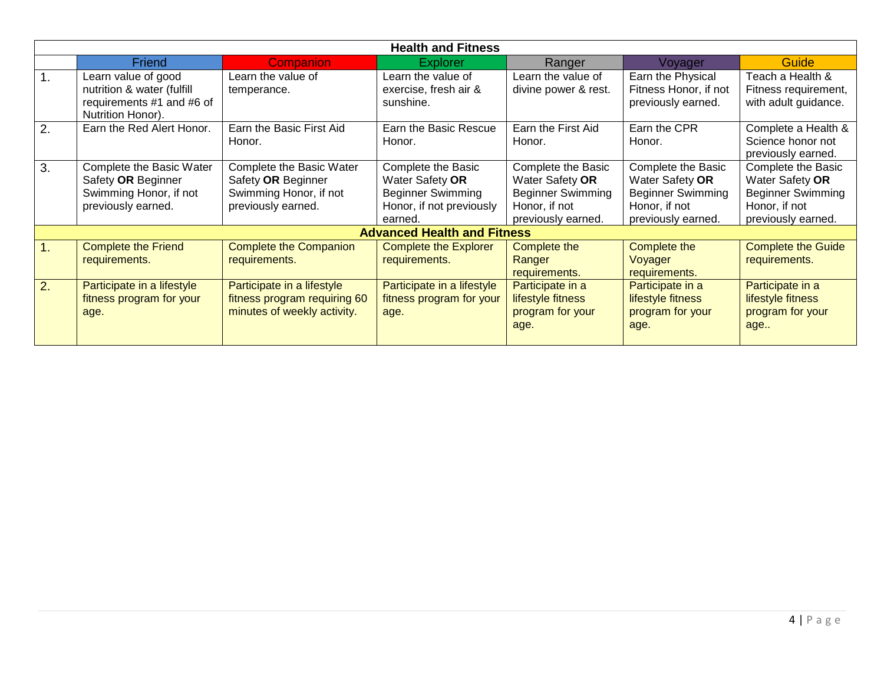|                | <b>Health and Fitness</b>                                                                           |                                                                                                |                                                                                                          |                                                                                                          |                                                                                                          |                                                                                                          |  |
|----------------|-----------------------------------------------------------------------------------------------------|------------------------------------------------------------------------------------------------|----------------------------------------------------------------------------------------------------------|----------------------------------------------------------------------------------------------------------|----------------------------------------------------------------------------------------------------------|----------------------------------------------------------------------------------------------------------|--|
|                | Friend                                                                                              | Companion                                                                                      | <b>Explorer</b>                                                                                          | Ranger                                                                                                   | Voyager                                                                                                  | <b>Guide</b>                                                                                             |  |
| 1 <sub>1</sub> | Learn value of good<br>nutrition & water (fulfill<br>requirements #1 and #6 of<br>Nutrition Honor). | Learn the value of<br>temperance.                                                              | Learn the value of<br>exercise, fresh air &<br>sunshine.                                                 | Learn the value of<br>divine power & rest.                                                               | Earn the Physical<br>Fitness Honor, if not<br>previously earned.                                         | Teach a Health &<br>Fitness requirement,<br>with adult guidance.                                         |  |
| 2.             | Earn the Red Alert Honor.                                                                           | Earn the Basic First Aid<br>Honor.                                                             | Earn the Basic Rescue<br>Honor.                                                                          | Earn the First Aid<br>Honor.                                                                             | Earn the CPR<br>Honor.                                                                                   | Complete a Health &<br>Science honor not<br>previously earned.                                           |  |
| 3.             | Complete the Basic Water<br>Safety OR Beginner<br>Swimming Honor, if not<br>previously earned.      | Complete the Basic Water<br>Safety OR Beginner<br>Swimming Honor, if not<br>previously earned. | Complete the Basic<br>Water Safety OR<br><b>Beginner Swimming</b><br>Honor, if not previously<br>earned. | Complete the Basic<br>Water Safety OR<br><b>Beginner Swimming</b><br>Honor, if not<br>previously earned. | Complete the Basic<br>Water Safety OR<br><b>Beginner Swimming</b><br>Honor, if not<br>previously earned. | Complete the Basic<br>Water Safety OR<br><b>Beginner Swimming</b><br>Honor, if not<br>previously earned. |  |
|                |                                                                                                     |                                                                                                | <b>Advanced Health and Fitness</b>                                                                       |                                                                                                          |                                                                                                          |                                                                                                          |  |
|                | <b>Complete the Friend</b><br>requirements.                                                         | <b>Complete the Companion</b><br>requirements.                                                 | <b>Complete the Explorer</b><br>requirements.                                                            | Complete the<br>Ranger<br>requirements.                                                                  | <b>Complete the</b><br>Voyager<br>requirements.                                                          | <b>Complete the Guide</b><br>requirements.                                                               |  |
| 2.             | Participate in a lifestyle<br>fitness program for your<br>age.                                      | Participate in a lifestyle<br>fitness program requiring 60<br>minutes of weekly activity.      | Participate in a lifestyle<br>fitness program for your<br>age.                                           | Participate in a<br>lifestyle fitness<br>program for your<br>age.                                        | Participate in a<br>lifestyle fitness<br>program for your<br>age.                                        | Participate in a<br>lifestyle fitness<br>program for your<br>age                                         |  |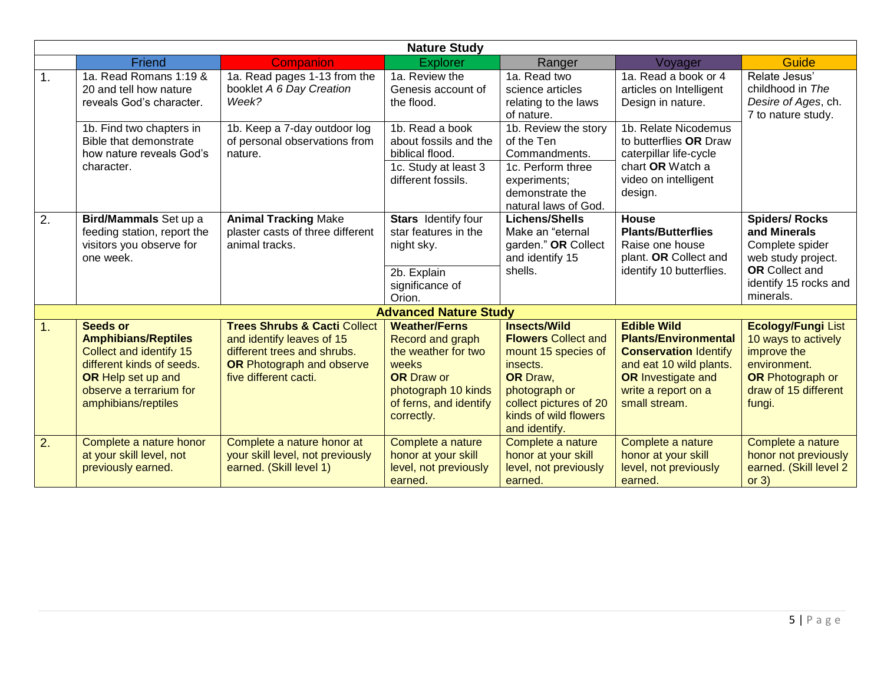|                  |                                                                                                                                                                               |                                                                                                                                                                  | <b>Nature Study</b>                                                                                                                                          |                                                                                                                                                                                       |                                                                                                                                                                                   |                                                                                                                                               |
|------------------|-------------------------------------------------------------------------------------------------------------------------------------------------------------------------------|------------------------------------------------------------------------------------------------------------------------------------------------------------------|--------------------------------------------------------------------------------------------------------------------------------------------------------------|---------------------------------------------------------------------------------------------------------------------------------------------------------------------------------------|-----------------------------------------------------------------------------------------------------------------------------------------------------------------------------------|-----------------------------------------------------------------------------------------------------------------------------------------------|
|                  | Friend                                                                                                                                                                        | <b>Companion</b>                                                                                                                                                 | <b>Explorer</b>                                                                                                                                              | Ranger                                                                                                                                                                                | Voyager                                                                                                                                                                           | Guide                                                                                                                                         |
| $\overline{1}$ . | 1a. Read Romans 1:19 &<br>20 and tell how nature<br>reveals God's character.                                                                                                  | 1a. Read pages 1-13 from the<br>booklet A 6 Day Creation<br>Week?                                                                                                | 1a. Review the<br>Genesis account of<br>the flood.                                                                                                           | 1a. Read two<br>science articles<br>relating to the laws<br>of nature.                                                                                                                | 1a. Read a book or 4<br>articles on Intelligent<br>Design in nature.                                                                                                              | Relate Jesus'<br>childhood in The<br>Desire of Ages, ch.<br>7 to nature study.                                                                |
|                  | 1b. Find two chapters in<br>Bible that demonstrate<br>how nature reveals God's<br>character.                                                                                  | 1b. Keep a 7-day outdoor log<br>of personal observations from<br>nature.                                                                                         | 1b. Read a book<br>about fossils and the<br>biblical flood.<br>1c. Study at least 3<br>different fossils.                                                    | 1b. Review the story<br>of the Ten<br>Commandments.<br>1c. Perform three<br>experiments;<br>demonstrate the<br>natural laws of God.                                                   | 1b. Relate Nicodemus<br>to butterflies OR Draw<br>caterpillar life-cycle<br>chart OR Watch a<br>video on intelligent<br>design.                                                   |                                                                                                                                               |
| 2.               | Bird/Mammals Set up a<br>feeding station, report the<br>visitors you observe for<br>one week.                                                                                 | <b>Animal Tracking Make</b><br>plaster casts of three different<br>animal tracks.                                                                                | Stars Identify four<br>star features in the<br>night sky.<br>2b. Explain<br>significance of<br>Orion.                                                        | <b>Lichens/Shells</b><br>Make an "eternal<br>garden." OR Collect<br>and identify 15<br>shells.                                                                                        | <b>House</b><br><b>Plants/Butterflies</b><br>Raise one house<br>plant. OR Collect and<br>identify 10 butterflies.                                                                 | <b>Spiders/ Rocks</b><br>and Minerals<br>Complete spider<br>web study project.<br><b>OR</b> Collect and<br>identify 15 rocks and<br>minerals. |
|                  |                                                                                                                                                                               |                                                                                                                                                                  | <b>Advanced Nature Study</b>                                                                                                                                 |                                                                                                                                                                                       |                                                                                                                                                                                   |                                                                                                                                               |
| $\overline{1}$ . | <b>Seeds or</b><br><b>Amphibians/Reptiles</b><br>Collect and identify 15<br>different kinds of seeds.<br>OR Help set up and<br>observe a terrarium for<br>amphibians/reptiles | <b>Trees Shrubs &amp; Cacti Collect</b><br>and identify leaves of 15<br>different trees and shrubs.<br><b>OR Photograph and observe</b><br>five different cacti. | <b>Weather/Ferns</b><br>Record and graph<br>the weather for two<br>weeks<br><b>OR</b> Draw or<br>photograph 10 kinds<br>of ferns, and identify<br>correctly. | <b>Insects/Wild</b><br><b>Flowers Collect and</b><br>mount 15 species of<br>insects.<br>OR Draw,<br>photograph or<br>collect pictures of 20<br>kinds of wild flowers<br>and identify. | <b>Edible Wild</b><br><b>Plants/Environmental</b><br><b>Conservation Identify</b><br>and eat 10 wild plants.<br><b>OR</b> Investigate and<br>write a report on a<br>small stream. | <b>Ecology/Fungi List</b><br>10 ways to actively<br>improve the<br>environment.<br><b>OR</b> Photograph or<br>draw of 15 different<br>fungi.  |
| 2.               | Complete a nature honor<br>at your skill level, not<br>previously earned.                                                                                                     | Complete a nature honor at<br>your skill level, not previously<br>earned. (Skill level 1)                                                                        | Complete a nature<br>honor at your skill<br>level, not previously<br>earned.                                                                                 | Complete a nature<br>honor at your skill<br>level, not previously<br>earned.                                                                                                          | Complete a nature<br>honor at your skill<br>level, not previously<br>earned.                                                                                                      | Complete a nature<br>honor not previously<br>earned. (Skill level 2<br>or $3)$                                                                |